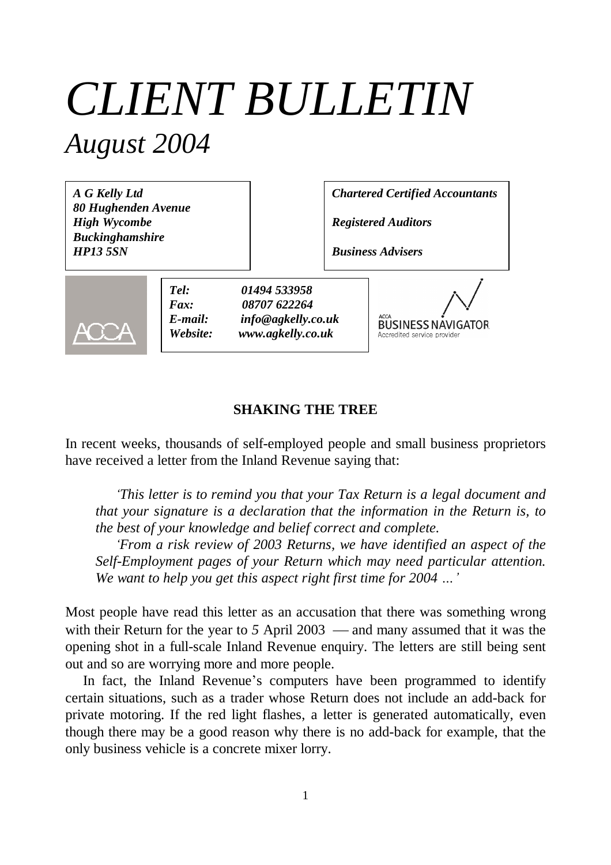# *CLIENT BULLETIN August 2004*

*A G Kelly Ltd 80 Hughenden Avenue High Wycombe Buckinghamshire HP13 5SN*

*Chartered Certified Accountants*

*Registered Auditors*

*Business Advisers*



*Tel: 01494 533958 Fax: 08707 622264 E-mail: info@agkelly.co.uk Website: www.agkelly.co.uk*

**BUSINESS NAVIGATOR** Accredited service provide

## **SHAKING THE TREE**

In recent weeks, thousands of self-employed people and small business proprietors have received a letter from the Inland Revenue saying that:

*'This letter is to remind you that your Tax Return is a legal document and that your signature is a declaration that the information in the Return is, to the best of your knowledge and belief correct and complete.*

*'From a risk review of 2003 Returns, we have identified an aspect of the Self-Employment pages of your Return which may need particular attention. We want to help you get this aspect right first time for 2004 …'*

Most people have read this letter as an accusation that there was something wrong with their Return for the year to  $5$  April 2003  $-$  and many assumed that it was the opening shot in a full-scale Inland Revenue enquiry. The letters are still being sent out and so are worrying more and more people.

In fact, the Inland Revenue's computers have been programmed to identify certain situations, such as a trader whose Return does not include an add-back for private motoring. If the red light flashes, a letter is generated automatically, even though there may be a good reason why there is no add-back for example, that the only business vehicle is a concrete mixer lorry.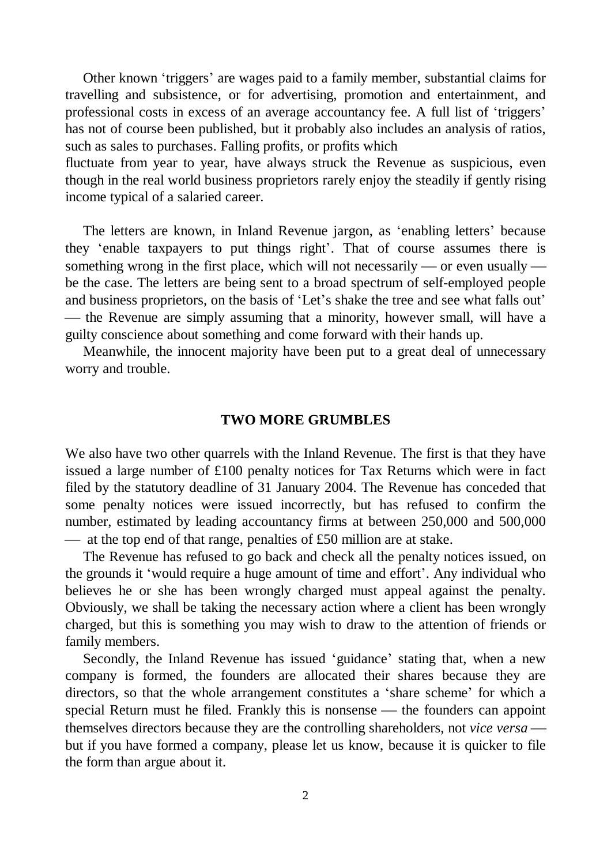Other known 'triggers' are wages paid to a family member, substantial claims for travelling and subsistence, or for advertising, promotion and entertainment, and professional costs in excess of an average accountancy fee. A full list of 'triggers' has not of course been published, but it probably also includes an analysis of ratios, such as sales to purchases. Falling profits, or profits which

fluctuate from year to year, have always struck the Revenue as suspicious, even though in the real world business proprietors rarely enjoy the steadily if gently rising income typical of a salaried career.

The letters are known, in Inland Revenue jargon, as 'enabling letters' because they 'enable taxpayers to put things right'. That of course assumes there is something wrong in the first place, which will not necessarily — or even usually be the case. The letters are being sent to a broad spectrum of self-employed people and business proprietors, on the basis of 'Let's shake the tree and see what falls out' — the Revenue are simply assuming that a minority, however small, will have a guilty conscience about something and come forward with their hands up.

Meanwhile, the innocent majority have been put to a great deal of unnecessary worry and trouble.

#### **TWO MORE GRUMBLES**

We also have two other quarrels with the Inland Revenue. The first is that they have issued a large number of £100 penalty notices for Tax Returns which were in fact filed by the statutory deadline of 31 January 2004. The Revenue has conceded that some penalty notices were issued incorrectly, but has refused to confirm the number, estimated by leading accountancy firms at between 250,000 and 500,000  $\frac{d}{dt}$  at the top end of that range, penalties of £50 million are at stake.

The Revenue has refused to go back and check all the penalty notices issued, on the grounds it 'would require a huge amount of time and effort'. Any individual who believes he or she has been wrongly charged must appeal against the penalty. Obviously, we shall be taking the necessary action where a client has been wrongly charged, but this is something you may wish to draw to the attention of friends or family members.

Secondly, the Inland Revenue has issued 'guidance' stating that, when a new company is formed, the founders are allocated their shares because they are directors, so that the whole arrangement constitutes a 'share scheme' for which a special Return must he filed. Frankly this is nonsense — the founders can appoint themselves directors because they are the controlling shareholders, not *vice versa* but if you have formed a company, please let us know, because it is quicker to file the form than argue about it.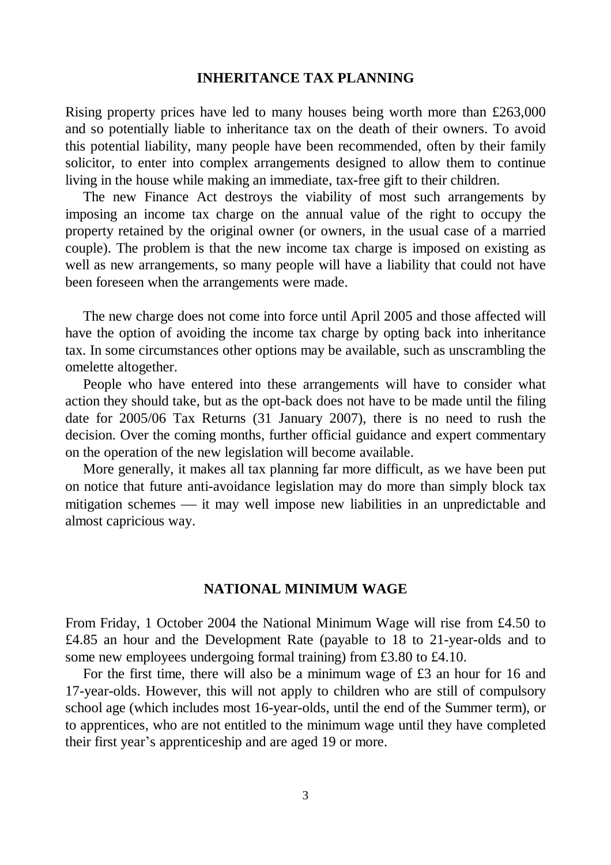## **INHERITANCE TAX PLANNING**

Rising property prices have led to many houses being worth more than £263,000 and so potentially liable to inheritance tax on the death of their owners. To avoid this potential liability, many people have been recommended, often by their family solicitor, to enter into complex arrangements designed to allow them to continue living in the house while making an immediate, tax-free gift to their children.

The new Finance Act destroys the viability of most such arrangements by imposing an income tax charge on the annual value of the right to occupy the property retained by the original owner (or owners, in the usual case of a married couple). The problem is that the new income tax charge is imposed on existing as well as new arrangements, so many people will have a liability that could not have been foreseen when the arrangements were made.

The new charge does not come into force until April 2005 and those affected will have the option of avoiding the income tax charge by opting back into inheritance tax. In some circumstances other options may be available, such as unscrambling the omelette altogether.

People who have entered into these arrangements will have to consider what action they should take, but as the opt-back does not have to be made until the filing date for 2005/06 Tax Returns (31 January 2007), there is no need to rush the decision. Over the coming months, further official guidance and expert commentary on the operation of the new legislation will become available.

More generally, it makes all tax planning far more difficult, as we have been put on notice that future anti-avoidance legislation may do more than simply block tax mitigation schemes  $\frac{1}{\sqrt{1-\frac{1}{\sqrt{1-\frac{1}{\sqrt{1-\frac{1}{\sqrt{1-\frac{1}{\sqrt{1-\frac{1}{\sqrt{1-\frac{1}{\sqrt{1-\frac{1}{\sqrt{1-\frac{1}{\sqrt{1-\frac{1}{\sqrt{1-\frac{1}{\sqrt{1-\frac{1}{\sqrt{1-\frac{1}{\sqrt{1-\frac{1}{\sqrt{1-\frac{1}{\sqrt{1-\frac{1}{\sqrt{1-\frac{1}{\sqrt{1-\frac{1}{\sqrt{1-\frac{1}{\sqrt{1-\frac{1}{\sqrt{1-\frac{1}{\sqrt{1-\frac{1}{\sqrt{1-\frac{$ almost capricious way.

#### **NATIONAL MINIMUM WAGE**

From Friday, 1 October 2004 the National Minimum Wage will rise from £4.50 to £4.85 an hour and the Development Rate (payable to 18 to 21-year-olds and to some new employees undergoing formal training) from £3.80 to £4.10.

For the first time, there will also be a minimum wage of £3 an hour for 16 and 17-year-olds. However, this will not apply to children who are still of compulsory school age (which includes most 16-year-olds, until the end of the Summer term), or to apprentices, who are not entitled to the minimum wage until they have completed their first year's apprenticeship and are aged 19 or more.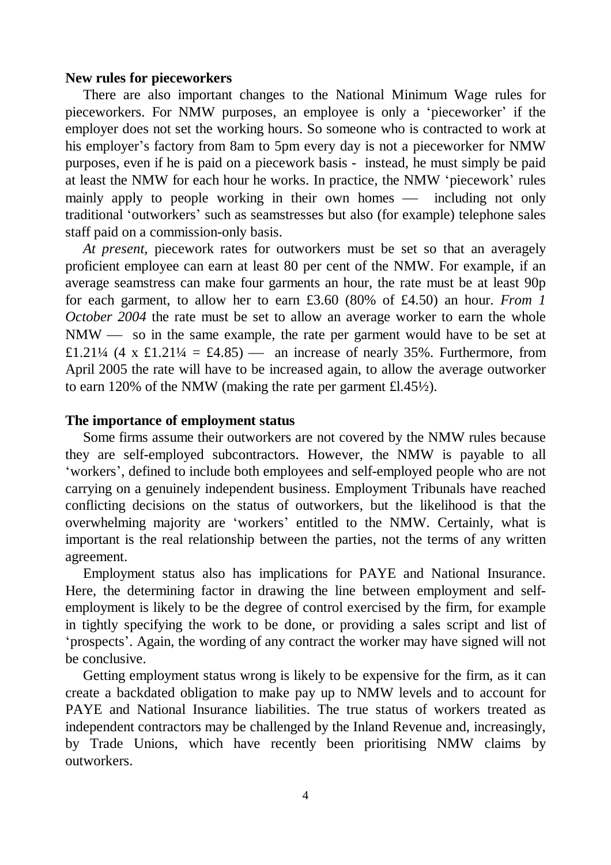## **New rules for pieceworkers**

There are also important changes to the National Minimum Wage rules for pieceworkers. For NMW purposes, an employee is only a 'pieceworker' if the employer does not set the working hours. So someone who is contracted to work at his employer's factory from 8am to 5pm every day is not a pieceworker for NMW purposes, even if he is paid on a piecework basis - instead, he must simply be paid at least the NMW for each hour he works. In practice, the NMW 'piecework' rules mainly apply to people working in their own homes — including not only traditional 'outworkers' such as seamstresses but also (for example) telephone sales staff paid on a commission-only basis.

*At present,* piecework rates for outworkers must be set so that an averagely proficient employee can earn at least 80 per cent of the NMW. For example, if an average seamstress can make four garments an hour, the rate must be at least 90p for each garment, to allow her to earn £3.60 (80% of £4.50) an hour. *From 1 October 2004* the rate must be set to allow an average worker to earn the whole  $NMW$  so in the same example, the rate per garment would have to be set at £1.21¼ (4 x £1.21¼ = £4.85) — an increase of nearly 35%. Furthermore, from April 2005 the rate will have to be increased again, to allow the average outworker to earn 120% of the NMW (making the rate per garment £l.45½).

#### **The importance of employment status**

Some firms assume their outworkers are not covered by the NMW rules because they are self-employed subcontractors. However, the NMW is payable to all 'workers', defined to include both employees and self-employed people who are not carrying on a genuinely independent business. Employment Tribunals have reached conflicting decisions on the status of outworkers, but the likelihood is that the overwhelming majority are 'workers' entitled to the NMW. Certainly, what is important is the real relationship between the parties, not the terms of any written agreement.

Employment status also has implications for PAYE and National Insurance. Here, the determining factor in drawing the line between employment and selfemployment is likely to be the degree of control exercised by the firm, for example in tightly specifying the work to be done, or providing a sales script and list of 'prospects'. Again, the wording of any contract the worker may have signed will not be conclusive.

Getting employment status wrong is likely to be expensive for the firm, as it can create a backdated obligation to make pay up to NMW levels and to account for PAYE and National Insurance liabilities. The true status of workers treated as independent contractors may be challenged by the Inland Revenue and, increasingly, by Trade Unions, which have recently been prioritising NMW claims by outworkers.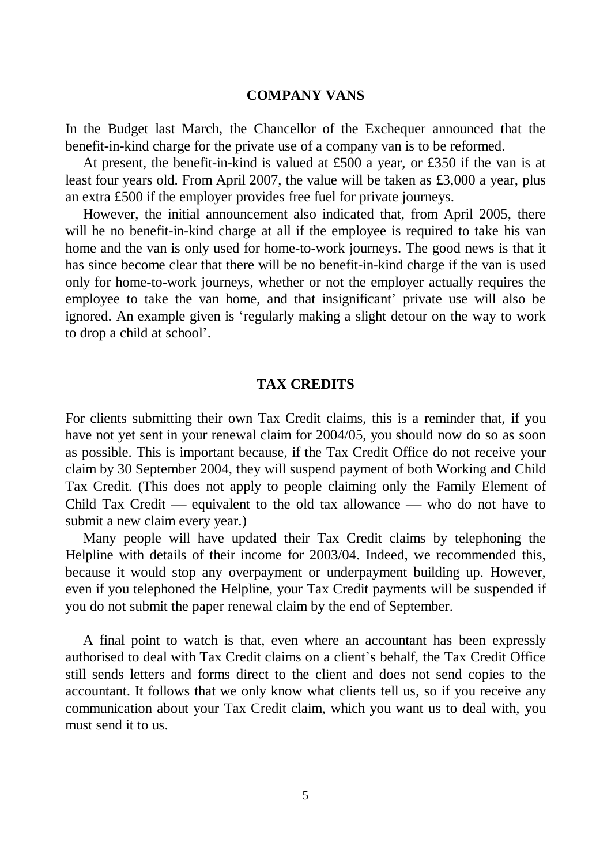## **COMPANY VANS**

In the Budget last March, the Chancellor of the Exchequer announced that the benefit-in-kind charge for the private use of a company van is to be reformed.

At present, the benefit-in-kind is valued at £500 a year, or £350 if the van is at least four years old. From April 2007, the value will be taken as £3,000 a year, plus an extra £500 if the employer provides free fuel for private journeys.

However, the initial announcement also indicated that, from April 2005, there will he no benefit-in-kind charge at all if the employee is required to take his van home and the van is only used for home-to-work journeys. The good news is that it has since become clear that there will be no benefit-in-kind charge if the van is used only for home-to-work journeys, whether or not the employer actually requires the employee to take the van home, and that insignificant' private use will also be ignored. An example given is 'regularly making a slight detour on the way to work to drop a child at school'.

#### **TAX CREDITS**

For clients submitting their own Tax Credit claims, this is a reminder that, if you have not yet sent in your renewal claim for 2004/05, you should now do so as soon as possible. This is important because, if the Tax Credit Office do not receive your claim by 30 September 2004, they will suspend payment of both Working and Child Tax Credit. (This does not apply to people claiming only the Family Element of Child Tax Credit — equivalent to the old tax allowance — who do not have to submit a new claim every year.)

Many people will have updated their Tax Credit claims by telephoning the Helpline with details of their income for 2003/04. Indeed, we recommended this, because it would stop any overpayment or underpayment building up. However, even if you telephoned the Helpline, your Tax Credit payments will be suspended if you do not submit the paper renewal claim by the end of September.

A final point to watch is that, even where an accountant has been expressly authorised to deal with Tax Credit claims on a client's behalf, the Tax Credit Office still sends letters and forms direct to the client and does not send copies to the accountant. It follows that we only know what clients tell us, so if you receive any communication about your Tax Credit claim, which you want us to deal with, you must send it to us.